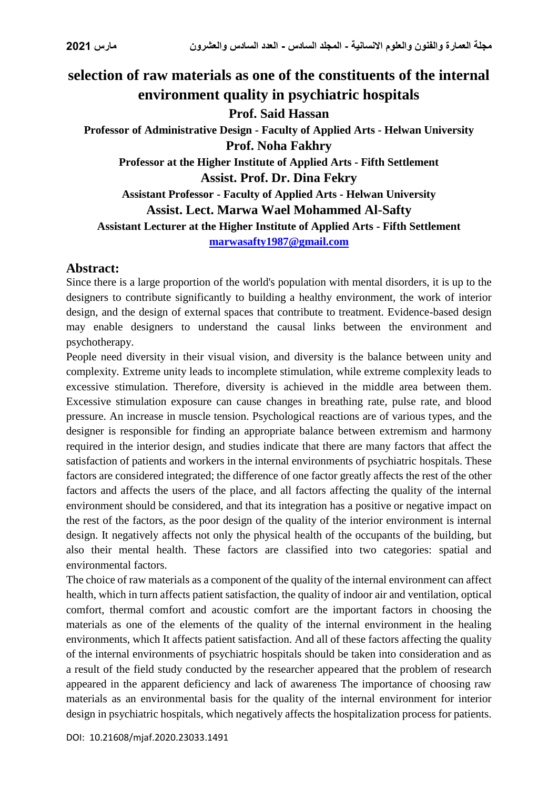# **selection of raw materials as one of the constituents of the internal environment quality in psychiatric hospitals Prof. Said Hassan Professor of Administrative Design - Faculty of Applied Arts - Helwan University Prof. Noha Fakhry Professor at the Higher Institute of Applied Arts - Fifth Settlement Assist. Prof. Dr. Dina Fekry Assistant Professor - Faculty of Applied Arts - Helwan University Assist. Lect. Marwa Wael Mohammed Al-Safty Assistant Lecturer at the Higher Institute of Applied Arts - Fifth Settlement [marwasafty1987@gmail.com](mailto:marwasafty1987@gmail.com)**

### **Abstract:**

Since there is a large proportion of the world's population with mental disorders, it is up to the designers to contribute significantly to building a healthy environment, the work of interior design, and the design of external spaces that contribute to treatment. Evidence-based design may enable designers to understand the causal links between the environment and psychotherapy.

People need diversity in their visual vision, and diversity is the balance between unity and complexity. Extreme unity leads to incomplete stimulation, while extreme complexity leads to excessive stimulation. Therefore, diversity is achieved in the middle area between them. Excessive stimulation exposure can cause changes in breathing rate, pulse rate, and blood pressure. An increase in muscle tension. Psychological reactions are of various types, and the designer is responsible for finding an appropriate balance between extremism and harmony required in the interior design, and studies indicate that there are many factors that affect the satisfaction of patients and workers in the internal environments of psychiatric hospitals. These factors are considered integrated; the difference of one factor greatly affects the rest of the other factors and affects the users of the place, and all factors affecting the quality of the internal environment should be considered, and that its integration has a positive or negative impact on the rest of the factors, as the poor design of the quality of the interior environment is internal design. It negatively affects not only the physical health of the occupants of the building, but also their mental health. These factors are classified into two categories: spatial and environmental factors.

The choice of raw materials as a component of the quality of the internal environment can affect health, which in turn affects patient satisfaction, the quality of indoor air and ventilation, optical comfort, thermal comfort and acoustic comfort are the important factors in choosing the materials as one of the elements of the quality of the internal environment in the healing environments, which It affects patient satisfaction. And all of these factors affecting the quality of the internal environments of psychiatric hospitals should be taken into consideration and as a result of the field study conducted by the researcher appeared that the problem of research appeared in the apparent deficiency and lack of awareness The importance of choosing raw materials as an environmental basis for the quality of the internal environment for interior design in psychiatric hospitals, which negatively affects the hospitalization process for patients.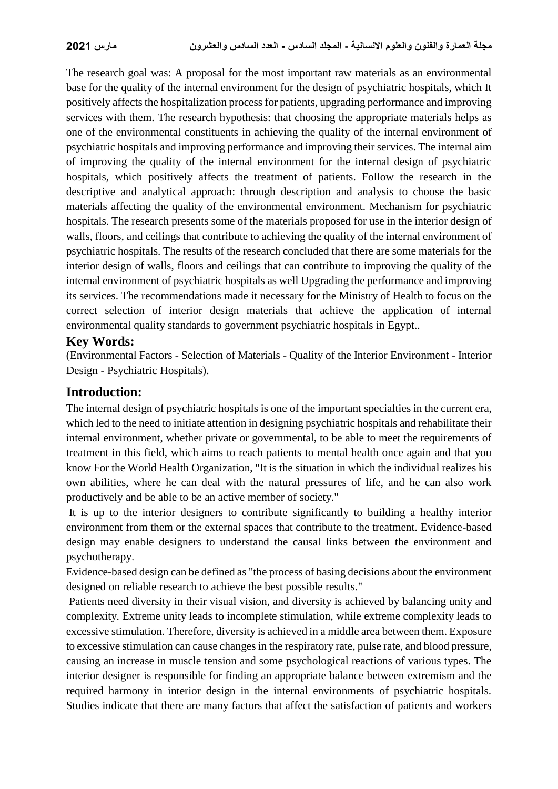The research goal was: A proposal for the most important raw materials as an environmental base for the quality of the internal environment for the design of psychiatric hospitals, which It positively affects the hospitalization process for patients, upgrading performance and improving services with them. The research hypothesis: that choosing the appropriate materials helps as one of the environmental constituents in achieving the quality of the internal environment of psychiatric hospitals and improving performance and improving their services. The internal aim of improving the quality of the internal environment for the internal design of psychiatric hospitals, which positively affects the treatment of patients. Follow the research in the descriptive and analytical approach: through description and analysis to choose the basic materials affecting the quality of the environmental environment. Mechanism for psychiatric hospitals. The research presents some of the materials proposed for use in the interior design of walls, floors, and ceilings that contribute to achieving the quality of the internal environment of psychiatric hospitals. The results of the research concluded that there are some materials for the interior design of walls, floors and ceilings that can contribute to improving the quality of the internal environment of psychiatric hospitals as well Upgrading the performance and improving its services. The recommendations made it necessary for the Ministry of Health to focus on the correct selection of interior design materials that achieve the application of internal environmental quality standards to government psychiatric hospitals in Egypt..

#### **Key Words:**

(Environmental Factors - Selection of Materials - Quality of the Interior Environment - Interior Design - Psychiatric Hospitals).

# **Introduction:**

The internal design of psychiatric hospitals is one of the important specialties in the current era, which led to the need to initiate attention in designing psychiatric hospitals and rehabilitate their internal environment, whether private or governmental, to be able to meet the requirements of treatment in this field, which aims to reach patients to mental health once again and that you know For the World Health Organization, "It is the situation in which the individual realizes his own abilities, where he can deal with the natural pressures of life, and he can also work productively and be able to be an active member of society."

It is up to the interior designers to contribute significantly to building a healthy interior environment from them or the external spaces that contribute to the treatment. Evidence-based design may enable designers to understand the causal links between the environment and psychotherapy.

Evidence-based design can be defined as "the process of basing decisions about the environment designed on reliable research to achieve the best possible results."

Patients need diversity in their visual vision, and diversity is achieved by balancing unity and complexity. Extreme unity leads to incomplete stimulation, while extreme complexity leads to excessive stimulation. Therefore, diversity is achieved in a middle area between them. Exposure to excessive stimulation can cause changes in the respiratory rate, pulse rate, and blood pressure, causing an increase in muscle tension and some psychological reactions of various types. The interior designer is responsible for finding an appropriate balance between extremism and the required harmony in interior design in the internal environments of psychiatric hospitals. Studies indicate that there are many factors that affect the satisfaction of patients and workers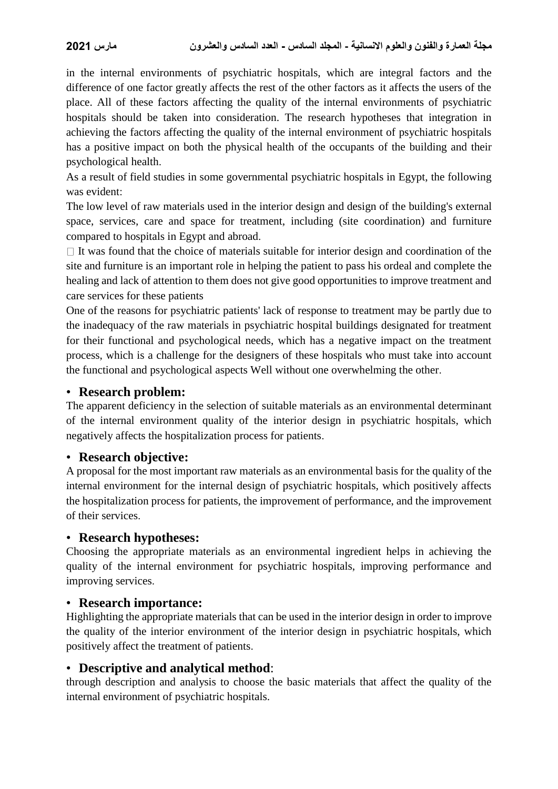in the internal environments of psychiatric hospitals, which are integral factors and the difference of one factor greatly affects the rest of the other factors as it affects the users of the place. All of these factors affecting the quality of the internal environments of psychiatric hospitals should be taken into consideration. The research hypotheses that integration in achieving the factors affecting the quality of the internal environment of psychiatric hospitals has a positive impact on both the physical health of the occupants of the building and their psychological health.

As a result of field studies in some governmental psychiatric hospitals in Egypt, the following was evident:

The low level of raw materials used in the interior design and design of the building's external space, services, care and space for treatment, including (site coordination) and furniture compared to hospitals in Egypt and abroad.

 $\Box$  It was found that the choice of materials suitable for interior design and coordination of the site and furniture is an important role in helping the patient to pass his ordeal and complete the healing and lack of attention to them does not give good opportunities to improve treatment and care services for these patients

One of the reasons for psychiatric patients' lack of response to treatment may be partly due to the inadequacy of the raw materials in psychiatric hospital buildings designated for treatment for their functional and psychological needs, which has a negative impact on the treatment process, which is a challenge for the designers of these hospitals who must take into account the functional and psychological aspects Well without one overwhelming the other.

#### • **Research problem:**

The apparent deficiency in the selection of suitable materials as an environmental determinant of the internal environment quality of the interior design in psychiatric hospitals, which negatively affects the hospitalization process for patients.

### • **Research objective:**

A proposal for the most important raw materials as an environmental basis for the quality of the internal environment for the internal design of psychiatric hospitals, which positively affects the hospitalization process for patients, the improvement of performance, and the improvement of their services.

### • **Research hypotheses:**

Choosing the appropriate materials as an environmental ingredient helps in achieving the quality of the internal environment for psychiatric hospitals, improving performance and improving services.

### • **Research importance:**

Highlighting the appropriate materials that can be used in the interior design in order to improve the quality of the interior environment of the interior design in psychiatric hospitals, which positively affect the treatment of patients.

# • **Descriptive and analytical method**:

through description and analysis to choose the basic materials that affect the quality of the internal environment of psychiatric hospitals.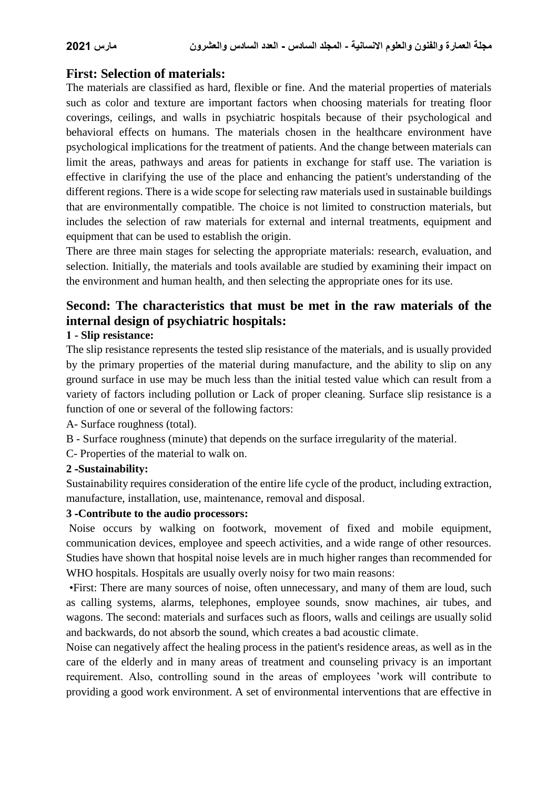# **First: Selection of materials:**

The materials are classified as hard, flexible or fine. And the material properties of materials such as color and texture are important factors when choosing materials for treating floor coverings, ceilings, and walls in psychiatric hospitals because of their psychological and behavioral effects on humans. The materials chosen in the healthcare environment have psychological implications for the treatment of patients. And the change between materials can limit the areas, pathways and areas for patients in exchange for staff use. The variation is effective in clarifying the use of the place and enhancing the patient's understanding of the different regions. There is a wide scope for selecting raw materials used in sustainable buildings that are environmentally compatible. The choice is not limited to construction materials, but includes the selection of raw materials for external and internal treatments, equipment and equipment that can be used to establish the origin.

There are three main stages for selecting the appropriate materials: research, evaluation, and selection. Initially, the materials and tools available are studied by examining their impact on the environment and human health, and then selecting the appropriate ones for its use.

# **Second: The characteristics that must be met in the raw materials of the internal design of psychiatric hospitals:**

#### **1 - Slip resistance:**

The slip resistance represents the tested slip resistance of the materials, and is usually provided by the primary properties of the material during manufacture, and the ability to slip on any ground surface in use may be much less than the initial tested value which can result from a variety of factors including pollution or Lack of proper cleaning. Surface slip resistance is a function of one or several of the following factors:

A- Surface roughness (total).

- B Surface roughness (minute) that depends on the surface irregularity of the material.
- C- Properties of the material to walk on.

#### **2 -Sustainability:**

Sustainability requires consideration of the entire life cycle of the product, including extraction, manufacture, installation, use, maintenance, removal and disposal.

#### **3 -Contribute to the audio processors:**

Noise occurs by walking on footwork, movement of fixed and mobile equipment, communication devices, employee and speech activities, and a wide range of other resources. Studies have shown that hospital noise levels are in much higher ranges than recommended for WHO hospitals. Hospitals are usually overly noisy for two main reasons:

 •First: There are many sources of noise, often unnecessary, and many of them are loud, such as calling systems, alarms, telephones, employee sounds, snow machines, air tubes, and wagons. The second: materials and surfaces such as floors, walls and ceilings are usually solid and backwards, do not absorb the sound, which creates a bad acoustic climate.

Noise can negatively affect the healing process in the patient's residence areas, as well as in the care of the elderly and in many areas of treatment and counseling privacy is an important requirement. Also, controlling sound in the areas of employees 'work will contribute to providing a good work environment. A set of environmental interventions that are effective in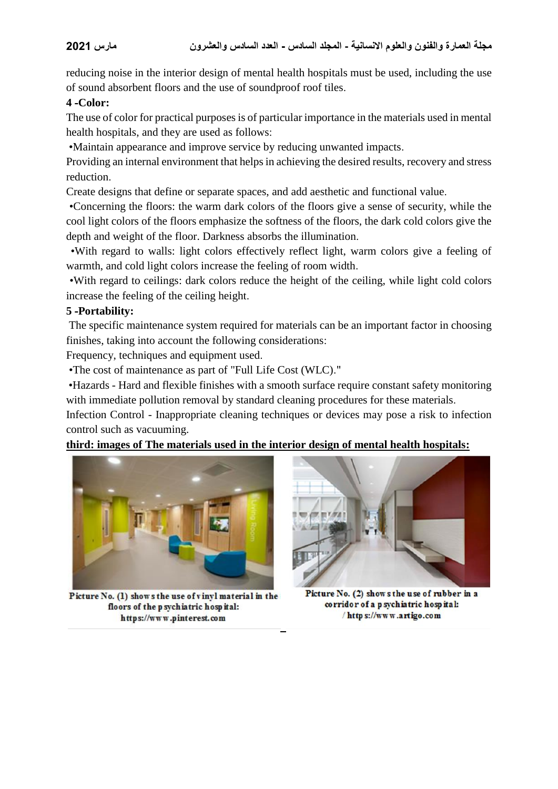reducing noise in the interior design of mental health hospitals must be used, including the use of sound absorbent floors and the use of soundproof roof tiles.

#### **4 -Color:**

The use of color for practical purposes is of particular importance in the materials used in mental health hospitals, and they are used as follows:

•Maintain appearance and improve service by reducing unwanted impacts.

Providing an internal environment that helps in achieving the desired results, recovery and stress reduction.

Create designs that define or separate spaces, and add aesthetic and functional value.

 •Concerning the floors: the warm dark colors of the floors give a sense of security, while the cool light colors of the floors emphasize the softness of the floors, the dark cold colors give the depth and weight of the floor. Darkness absorbs the illumination.

 •With regard to walls: light colors effectively reflect light, warm colors give a feeling of warmth, and cold light colors increase the feeling of room width.

 •With regard to ceilings: dark colors reduce the height of the ceiling, while light cold colors increase the feeling of the ceiling height.

#### **5 -Portability:**

The specific maintenance system required for materials can be an important factor in choosing finishes, taking into account the following considerations:

Frequency, techniques and equipment used.

•The cost of maintenance as part of "Full Life Cost (WLC)."

 •Hazards - Hard and flexible finishes with a smooth surface require constant safety monitoring with immediate pollution removal by standard cleaning procedures for these materials.

Infection Control - Inappropriate cleaning techniques or devices may pose a risk to infection control such as vacuuming.

### **third: images of The materials used in the interior design of mental health hospitals:**



Picture No. (1) shows the use of vinyl material in the floors of the p sychiatric hospital: https://www.pinterest.com 



Picture No. (2) shows the use of rubber in a corridor of a p sychiatric hospital: / https://www.artigo.com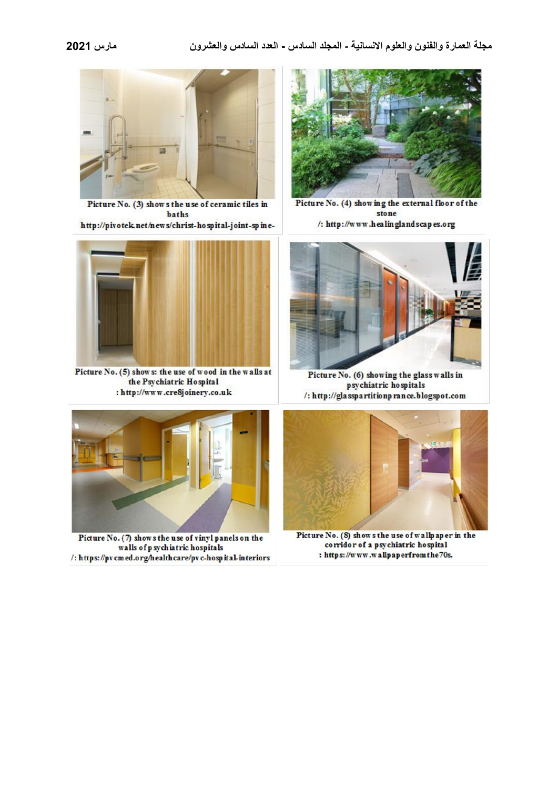

Picture No. (3) shows the use of ceramic tiles in baths

http://pivotek.net/news/christ-hospital-joint-spine-



Picture No. (5) shows: the use of wood in the walls at the Psychiatric Hospital : http://www.cre8joinery.co.uk



Picture No. (7) shows the use of vinyl panels on the walls of p sychiatric hospitals /: https://pv cmed.org/healthcare/pv c-hosp ital-interiors



Picture No. (4) showing the external floor of the stone /: http://www.healinglandscapes.org



Picture No. (6) showing the glass walls in psychiatric hospitals /: http://glasspartitionprance.blogspot.com



Picture No. (8) shows the use of wallpaper in the corridor of a psychiatric hospital : https://www.wallpaperfromthe70s.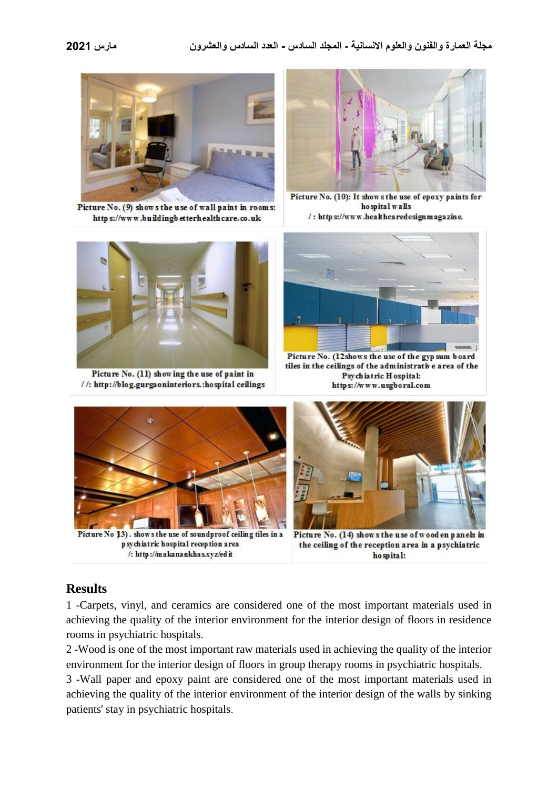

Picture No. (9) shows the use of wall paint in rooms: https://www.buildingbetterhealthcare.co.uk



Picture No. (10): It shows the use of epoxy paints for ho spital walls /: https://www.healthcaredesignmagazine.



Picture No. (11) showing the use of paint in //: http://blog.gurgaoninteriors.:hospital ceilings



Picture No. (12shows the use of the gyp sum board tiles in the ceilings of the administrative area of the Psychiatric Hospital: https://www.usgboral.com



Picture No 13). shows the use of soundproof ceiling tiles in a p sychiatric hospital reception area /: http://makanankhas.xyz/edit



Picture No. (14) shows the use of wood en panels in the ceiling of the reception area in a psychiatric ho spital:

# **Results**

1 -Carpets, vinyl, and ceramics are considered one of the most important materials used in achieving the quality of the interior environment for the interior design of floors in residence rooms in psychiatric hospitals.

2 -Wood is one of the most important raw materials used in achieving the quality of the interior environment for the interior design of floors in group therapy rooms in psychiatric hospitals.

3 -Wall paper and epoxy paint are considered one of the most important materials used in achieving the quality of the interior environment of the interior design of the walls by sinking patients' stay in psychiatric hospitals.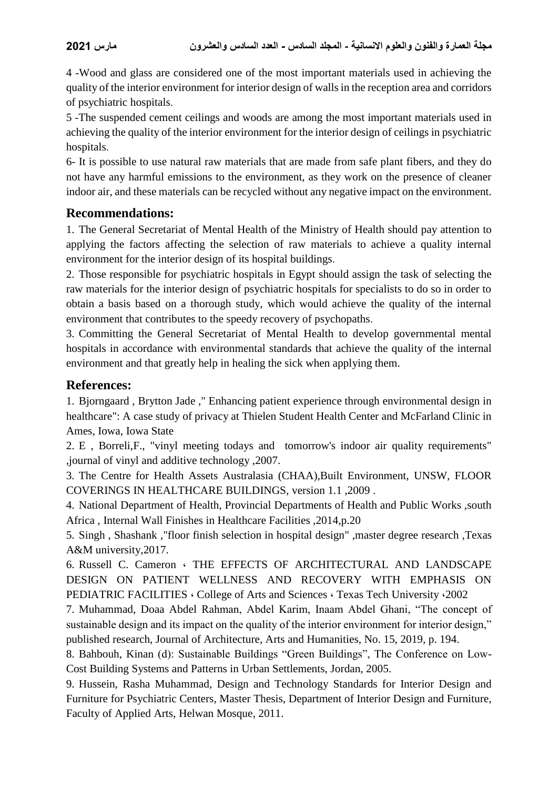4 -Wood and glass are considered one of the most important materials used in achieving the quality of the interior environment for interior design of walls in the reception area and corridors of psychiatric hospitals.

5 -The suspended cement ceilings and woods are among the most important materials used in achieving the quality of the interior environment for the interior design of ceilings in psychiatric hospitals.

6- It is possible to use natural raw materials that are made from safe plant fibers, and they do not have any harmful emissions to the environment, as they work on the presence of cleaner indoor air, and these materials can be recycled without any negative impact on the environment.

### **Recommendations:**

1. The General Secretariat of Mental Health of the Ministry of Health should pay attention to applying the factors affecting the selection of raw materials to achieve a quality internal environment for the interior design of its hospital buildings.

2. Those responsible for psychiatric hospitals in Egypt should assign the task of selecting the raw materials for the interior design of psychiatric hospitals for specialists to do so in order to obtain a basis based on a thorough study, which would achieve the quality of the internal environment that contributes to the speedy recovery of psychopaths.

3. Committing the General Secretariat of Mental Health to develop governmental mental hospitals in accordance with environmental standards that achieve the quality of the internal environment and that greatly help in healing the sick when applying them.

# **References:**

1. Bjorngaard , Brytton Jade ," Enhancing patient experience through environmental design in healthcare": A case study of privacy at Thielen Student Health Center and McFarland Clinic in Ames, Iowa, Iowa State

2. E , Borreli,F., "vinyl meeting todays and tomorrow's indoor air quality requirements" ,journal of vinyl and additive technology ,2007.

3. The Centre for Health Assets Australasia (CHAA),Built Environment, UNSW, FLOOR COVERINGS IN HEALTHCARE BUILDINGS, version 1.1 ,2009 .

4. National Department of Health, Provincial Departments of Health and Public Works ,south Africa , Internal Wall Finishes in Healthcare Facilities ,2014,p.20

5. Singh , Shashank ,"floor finish selection in hospital design" ,master degree research ,Texas A&M university,2017.

6. Russell C. Cameron ، THE EFFECTS OF ARCHITECTURAL AND LANDSCAPE DESIGN ON PATIENT WELLNESS AND RECOVERY WITH EMPHASIS ON PEDIATRIC FACILITIES ، College of Arts and Sciences ، Texas Tech University ،2002

7. Muhammad, Doaa Abdel Rahman, Abdel Karim, Inaam Abdel Ghani, "The concept of sustainable design and its impact on the quality of the interior environment for interior design," published research, Journal of Architecture, Arts and Humanities, No. 15, 2019, p. 194.

8. Bahbouh, Kinan (d): Sustainable Buildings "Green Buildings", The Conference on Low-Cost Building Systems and Patterns in Urban Settlements, Jordan, 2005.

9. Hussein, Rasha Muhammad, Design and Technology Standards for Interior Design and Furniture for Psychiatric Centers, Master Thesis, Department of Interior Design and Furniture, Faculty of Applied Arts, Helwan Mosque, 2011.